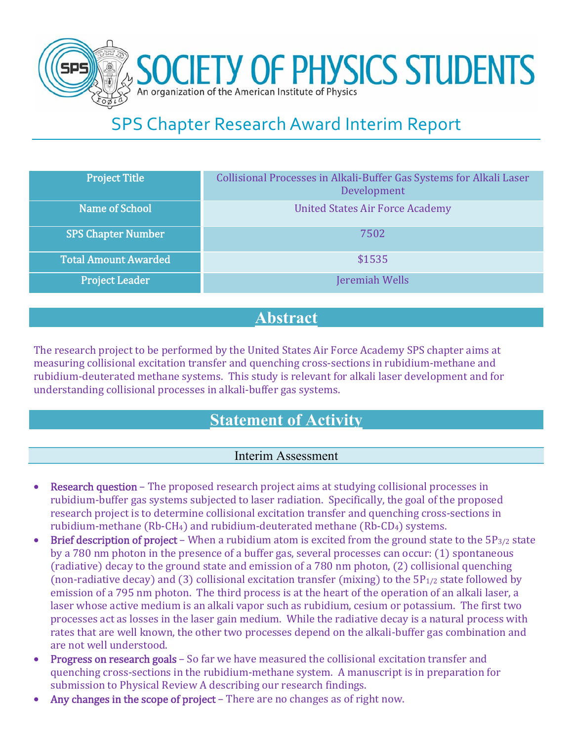

# SPS Chapter Research Award Interim Report

| Project Title               | Collisional Processes in Alkali-Buffer Gas Systems for Alkali Laser<br>Development |
|-----------------------------|------------------------------------------------------------------------------------|
| <b>Name of School</b>       | <b>United States Air Force Academy</b>                                             |
| <b>SPS Chapter Number</b>   | 7502                                                                               |
| <b>Total Amount Awarded</b> | \$1535                                                                             |
| <b>Project Leader</b>       | Jeremiah Wells                                                                     |

### **Abstract**

The research project to be performed by the United States Air Force Academy SPS chapter aims at measuring collisional excitation transfer and quenching cross-sections in rubidium-methane and rubidium-deuterated methane systems. This study is relevant for alkali laser development and for understanding collisional processes in alkali-buffer gas systems.

# **Statement of Activity**

### Interim Assessment

- **Research question** The proposed research project aims at studying collisional processes in rubidium-buffer gas systems subjected to laser radiation. Specifically, the goal of the proposed research project is to determine collisional excitation transfer and quenching cross-sections in rubidium-methane  $(Rb-CH_4)$  and rubidium-deuterated methane  $(Rb-CD_4)$  systems.
- Brief description of project When a rubidium atom is excited from the ground state to the  $5P_{3/2}$  state by a 780 nm photon in the presence of a buffer gas, several processes can occur: (1) spontaneous  $(radiative)$  decay to the ground state and emission of a 780 nm photon,  $(2)$  collisional quenching (non-radiative decay) and (3) collisional excitation transfer (mixing) to the  $5P_{1/2}$  state followed by emission of a 795 nm photon. The third process is at the heart of the operation of an alkali laser, a laser whose active medium is an alkali vapor such as rubidium, cesium or potassium. The first two processes act as losses in the laser gain medium. While the radiative decay is a natural process with rates that are well known, the other two processes depend on the alkali-buffer gas combination and are not well understood.
- Progress on research goals So far we have measured the collisional excitation transfer and quenching cross-sections in the rubidium-methane system. A manuscript is in preparation for submission to Physical Review A describing our research findings.
- Any changes in the scope of project There are no changes as of right now.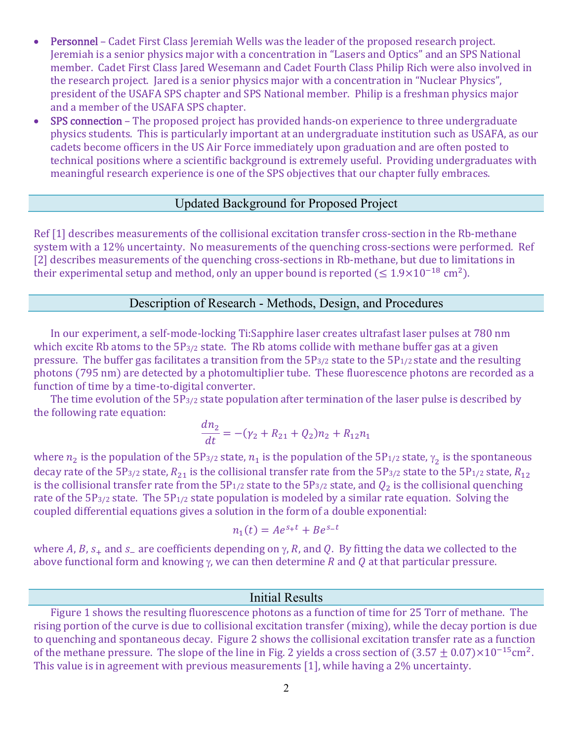- Personnel Cadet First Class Jeremiah Wells was the leader of the proposed research project. Jeremiah is a senior physics major with a concentration in "Lasers and Optics" and an SPS National member. Cadet First Class Jared Wesemann and Cadet Fourth Class Philip Rich were also involved in the research project. Jared is a senior physics major with a concentration in "Nuclear Physics", president of the USAFA SPS chapter and SPS National member. Philip is a freshman physics major and a member of the USAFA SPS chapter.
- SPS connection The proposed project has provided hands-on experience to three undergraduate physics students. This is particularly important at an undergraduate institution such as USAFA, as our cadets become officers in the US Air Force immediately upon graduation and are often posted to technical positions where a scientific background is extremely useful. Providing undergraduates with meaningful research experience is one of the SPS objectives that our chapter fully embraces.

#### Updated Background for Proposed Project

Ref [1] describes measurements of the collisional excitation transfer cross-section in the Rb-methane system with a 12% uncertainty. No measurements of the quenching cross-sections were performed. Ref [2] describes measurements of the quenching cross-sections in Rb-methane, but due to limitations in their experimental setup and method, only an upper bound is reported  $(\leq 1.9 \times 10^{-18}$  cm<sup>2</sup>).

#### Description of Research - Methods, Design, and Procedures

In our experiment, a self-mode-locking Ti:Sapphire laser creates ultrafast laser pulses at 780 nm which excite Rb atoms to the  $5P_{3/2}$  state. The Rb atoms collide with methane buffer gas at a given pressure. The buffer gas facilitates a transition from the  $5P_{3/2}$  state to the  $5P_{1/2}$  state and the resulting photons (795 nm) are detected by a photomultiplier tube. These fluorescence photons are recorded as a function of time by a time-to-digital converter.

The time evolution of the  $5P_{3/2}$  state population after termination of the laser pulse is described by the following rate equation:

$$
\frac{dn_2}{dt} = -(\gamma_2 + R_{21} + Q_2)n_2 + R_{12}n_1
$$

where  $n_2$  is the population of the  $5P_{3/2}$  state,  $n_1$  is the population of the  $5P_{1/2}$  state,  $\gamma_2$  is the spontaneous decay rate of the 5P<sub>3/2</sub> state,  $R_{21}$  is the collisional transfer rate from the 5P<sub>3/2</sub> state to the 5P<sub>1/2</sub> state,  $R_{12}$ is the collisional transfer rate from the  $5P_{1/2}$  state to the  $5P_{3/2}$  state, and  $Q_2$  is the collisional quenching rate of the  $5P_{3/2}$  state. The  $5P_{1/2}$  state population is modeled by a similar rate equation. Solving the coupled differential equations gives a solution in the form of a double exponential:

$$
n_1(t) = Ae^{s_+t} + Be^{s_-t}
$$

where A, B,  $s_+$  and  $s_-$  are coefficients depending on  $\gamma$ , R, and Q. By fitting the data we collected to the above functional form and knowing  $\gamma$ , we can then determine R and Q at that particular pressure.

#### Initial Results

Figure 1 shows the resulting fluorescence photons as a function of time for 25 Torr of methane. The rising portion of the curve is due to collisional excitation transfer (mixing), while the decay portion is due to quenching and spontaneous decay. Figure 2 shows the collisional excitation transfer rate as a function of the methane pressure. The slope of the line in Fig. 2 yields a cross section of  $(3.57 \pm 0.07) \times 10^{-15}$ cm<sup>2</sup>. This value is in agreement with previous measurements  $[1]$ , while having a 2% uncertainty.